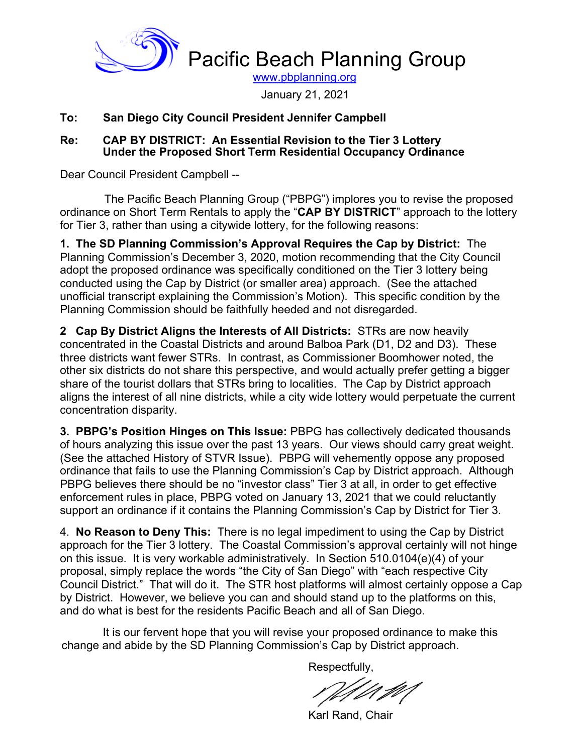

January 21, 2021

#### **To: San Diego City Council President Jennifer Campbell**

#### **Re: CAP BY DISTRICT: An Essential Revision to the Tier 3 Lottery Under the Proposed Short Term Residential Occupancy Ordinance**

Dear Council President Campbell --

 The Pacific Beach Planning Group ("PBPG") implores you to revise the proposed ordinance on Short Term Rentals to apply the "**CAP BY DISTRICT**" approach to the lottery for Tier 3, rather than using a citywide lottery, for the following reasons:

**1. The SD Planning Commission's Approval Requires the Cap by District:** The Planning Commission's December 3, 2020, motion recommending that the City Council adopt the proposed ordinance was specifically conditioned on the Tier 3 lottery being conducted using the Cap by District (or smaller area) approach. (See the attached unofficial transcript explaining the Commission's Motion). This specific condition by the Planning Commission should be faithfully heeded and not disregarded.

**2 Cap By District Aligns the Interests of All Districts:** STRs are now heavily concentrated in the Coastal Districts and around Balboa Park (D1, D2 and D3). These three districts want fewer STRs. In contrast, as Commissioner Boomhower noted, the other six districts do not share this perspective, and would actually prefer getting a bigger share of the tourist dollars that STRs bring to localities. The Cap by District approach aligns the interest of all nine districts, while a city wide lottery would perpetuate the current concentration disparity.

**3. PBPG's Position Hinges on This Issue:** PBPG has collectively dedicated thousands of hours analyzing this issue over the past 13 years. Our views should carry great weight. (See the attached History of STVR Issue). PBPG will vehemently oppose any proposed ordinance that fails to use the Planning Commission's Cap by District approach. Although PBPG believes there should be no "investor class" Tier 3 at all, in order to get effective enforcement rules in place, PBPG voted on January 13, 2021 that we could reluctantly support an ordinance if it contains the Planning Commission's Cap by District for Tier 3.

4. **No Reason to Deny This:** There is no legal impediment to using the Cap by District approach for the Tier 3 lottery. The Coastal Commission's approval certainly will not hinge on this issue. It is very workable administratively. In Section 510.0104(e)(4) of your proposal, simply replace the words "the City of San Diego" with "each respective City Council District." That will do it. The STR host platforms will almost certainly oppose a Cap by District. However, we believe you can and should stand up to the platforms on this, and do what is best for the residents Pacific Beach and all of San Diego.

It is our fervent hope that you will revise your proposed ordinance to make this change and abide by the SD Planning Commission's Cap by District approach.

Respectfully,

Karl Rand, Chair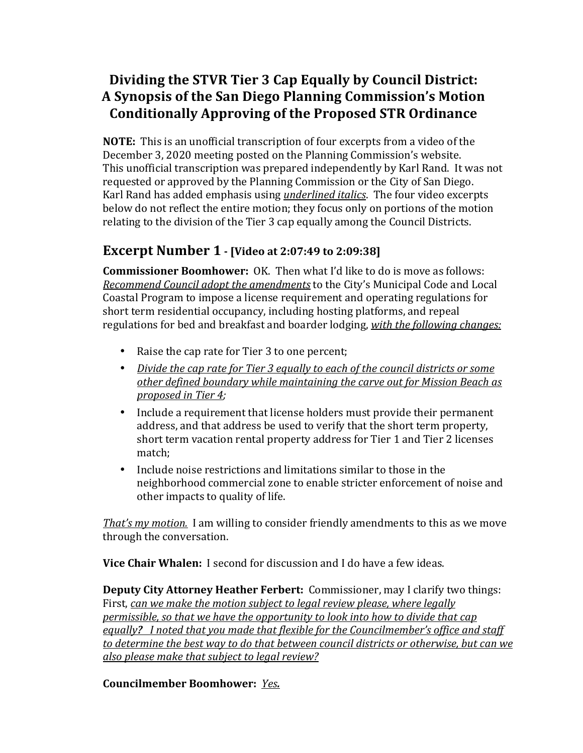# Dividing the STVR Tier 3 Cap Equally by Council District: A Synopsis of the San Diego Planning Commission's Motion Conditionally Approving of the Proposed STR Ordinance

**NOTE:** This is an unofficial transcription of four excerpts from a video of the December 3, 2020 meeting posted on the Planning Commission's website. This unofficial transcription was prepared independently by Karl Rand. It was not requested or approved by the Planning Commission or the City of San Diego. Karl Rand has added emphasis using *underlined italics*. The four video excerpts below do not reflect the entire motion; they focus only on portions of the motion relating to the division of the Tier 3 cap equally among the Council Districts.

## **Excerpt Number 1 -** [Video at 2:07:49 to 2:09:38]

**Commissioner Boomhower:** OK. Then what I'd like to do is move as follows: *Recommend Council adopt the amendments* to the City's Municipal Code and Local Coastal Program to impose a license requirement and operating regulations for short term residential occupancy, including hosting platforms, and repeal regulations for bed and breakfast and boarder lodging, *with the following changes:* 

- Raise the cap rate for Tier 3 to one percent;
- Divide the cap rate for Tier 3 equally to each of the council districts or some *other defined boundary while maintaining the carve out for Mission Beach as proposed in Tier 4;*
- Include a requirement that license holders must provide their permanent address, and that address be used to verify that the short term property, short term vacation rental property address for Tier 1 and Tier 2 licenses match;
- Include noise restrictions and limitations similar to those in the neighborhood commercial zone to enable stricter enforcement of noise and other impacts to quality of life.

*That's* my motion. I am willing to consider friendly amendments to this as we move through the conversation.

**Vice Chair Whalen:** I second for discussion and I do have a few ideas.

**Deputy City Attorney Heather Ferbert:** Commissioner, may I clarify two things: First, can we make the motion subject to legal review please, where *legally permissible, so that we have the opportunity to look into how to divide that cap* equally? I noted that you made that flexible for the Councilmember's office and staff to determine the best way to do that between council districts or otherwise, but can we *also please make that subject to legal review?* 

#### **Councilmember Boomhower: Yes.**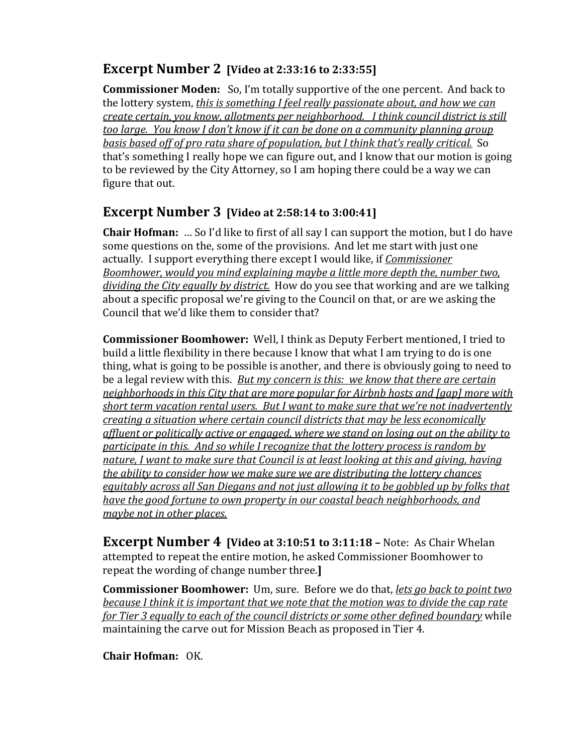# **Excerpt Number 2** [Video at 2:33:16 to 2:33:55]

**Commissioner Moden:** So, I'm totally supportive of the one percent. And back to the lottery system, *this is something I feel really passionate about, and how we can create certain, you know, allotments per neighborhood. I think council district is still too large. You know I don't know if it can be done on a community planning group* basis based off of pro rata share of population, but I think that's really critical. So that's something I really hope we can figure out, and I know that our motion is going to be reviewed by the City Attorney, so I am hoping there could be a way we can figure that out.

## **Excerpt Number 3** [Video at 2:58:14 to 3:00:41]

**Chair Hofman:** ... So I'd like to first of all say I can support the motion, but I do have some questions on the, some of the provisions. And let me start with just one actually. I support everything there except I would like, if *Commissioner Boomhower, would you mind explaining maybe a little more depth the, number two,* dividing the City equally by district. How do you see that working and are we talking about a specific proposal we're giving to the Council on that, or are we asking the Council that we'd like them to consider that?

**Commissioner Boomhower:** Well, I think as Deputy Ferbert mentioned, I tried to build a little flexibility in there because I know that what I am trying to do is one thing, what is going to be possible is another, and there is obviously going to need to be a legal review with this. *But my concern is this: we know that there are certain neighborhoods* in this City that are more popular for Airbnb hosts and [gap] more with short term vacation rental users. But I want to make sure that we're not inadvertently *creating a situation where certain council districts that may be less economically* affluent or politically active or engaged, where we stand on losing out on the ability to *participate in this. And so while I recognize that the lottery process is random by* nature, I want to make sure that *Council* is at least looking at this and giving, having *the ability to consider how we make sure we are distributing the lottery chances equitably across all San Diegans and not just allowing it to be gobbled up by folks that have the good fortune to own property in our coastal beach neighborhoods, and maybe not in other places.* 

**Excerpt Number 4 [Video at 3:10:51 to 3:11:18 - Note: As Chair Whelan** attempted to repeat the entire motion, he asked Commissioner Boomhower to repeat the wording of change number three.

**Commissioner Boomhower:** Um, sure. Before we do that, *lets go back to point two because I think it is important that we note that the motion was to divide the cap rate for Tier 3 equally to each of the council districts or some other defined boundary* while maintaining the carve out for Mission Beach as proposed in Tier 4.

**Chair Hofman:** OK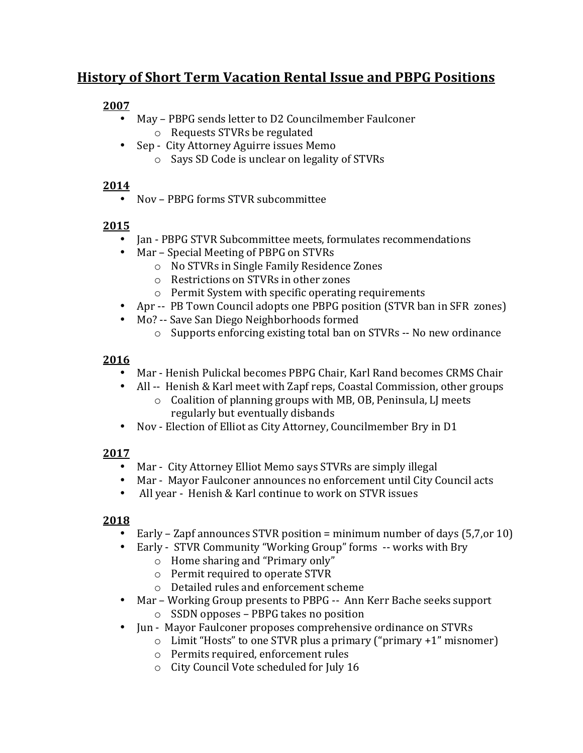# **History of Short Term Vacation Rental Issue and PBPG Positions**

#### **2007**

- May PBPG sends letter to D2 Councilmember Faulconer
	- $\circ$  Requests STVRs be regulated
- Sep City Attorney Aguirre issues Memo
	- $\circ$  Says SD Code is unclear on legality of STVRs

## **2014**

• Nov – PBPG forms STVR subcommittee

## **2015**

- Jan PBPG STVR Subcommittee meets, formulates recommendations
- Mar Special Meeting of PBPG on STVRs
	- o No STVRs in Single Family Residence Zones
	- $\circ$  Restrictions on STVRs in other zones
	- $\circ$  Permit System with specific operating requirements
- Apr -- PB Town Council adopts one PBPG position (STVR ban in SFR zones)
- Mo? -- Save San Diego Neighborhoods formed
	- $\circ$  Supports enforcing existing total ban on STVRs -- No new ordinance

## **2016**

- Mar Henish Pulickal becomes PBPG Chair, Karl Rand becomes CRMS Chair
- All -- Henish & Karl meet with Zapf reps, Coastal Commission, other groups
	- $\circ$  Coalition of planning groups with MB, OB, Peninsula, LJ meets regularly but eventually disbands
- Nov Election of Elliot as City Attorney, Councilmember Bry in D1

## **2017**

- Mar City Attorney Elliot Memo says STVRs are simply illegal
- Mar Mayor Faulconer announces no enforcement until City Council acts
- All vear Henish & Karl continue to work on STVR issues

## **2018**

- Early Zapf announces STVR position = minimum number of days  $(5,7,0r10)$
- Early STVR Community "Working Group" forms -- works with Bry
	- $\circ$  Home sharing and "Primary only"
	- $\circ$  Permit required to operate STVR
	- $\circ$  Detailed rules and enforcement scheme
- Mar Working Group presents to PBPG -- Ann Kerr Bache seeks support
	- $\circ$  SSDN opposes PBPG takes no position
- Jun Mayor Faulconer proposes comprehensive ordinance on STVRs
	- $\circ$  Limit "Hosts" to one STVR plus a primary ("primary +1" misnomer)
	- $\circ$  Permits required, enforcement rules
	- o City Council Vote scheduled for July 16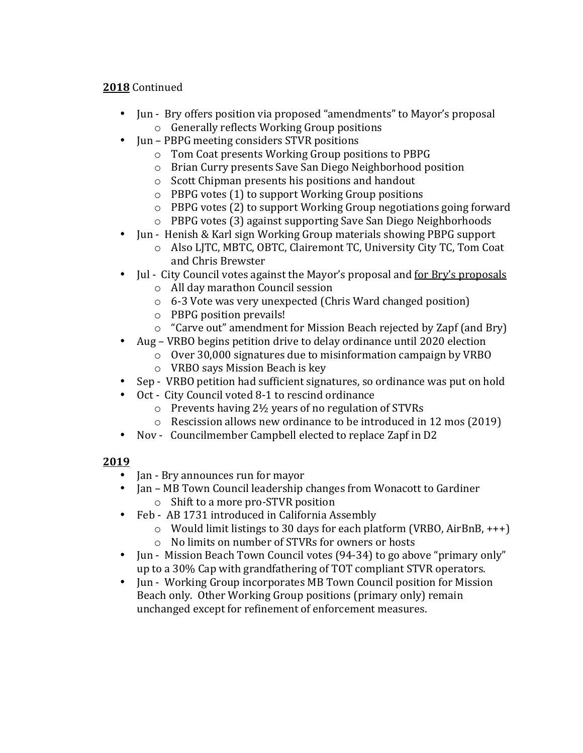#### **2018** Continued

- Jun Bry offers position via proposed "amendments" to Mayor's proposal  $\circ$  Generally reflects Working Group positions
- Jun PBPG meeting considers STVR positions
	- $\circ$  Tom Coat presents Working Group positions to PBPG
	- o Brian Curry presents Save San Diego Neighborhood position
	- $\circ$  Scott Chipman presents his positions and handout
	- $\circ$  PBPG votes (1) to support Working Group positions
	- $\circ$  PBPG votes (2) to support Working Group negotiations going forward
	- $\circ$  PBPG votes (3) against supporting Save San Diego Neighborhoods
- Jun Henish & Karl sign Working Group materials showing PBPG support
	- o Also LJTC, MBTC, OBTC, Clairemont TC, University City TC, Tom Coat and Chris Brewster
- Jul City Council votes against the Mayor's proposal and for Bry's proposals
	- o All day marathon Council session
	- $\circ$  6-3 Vote was very unexpected (Chris Ward changed position)
	- $\circ$  PBPG position prevails!
	- $\circ$  "Carve out" amendment for Mission Beach rejected by Zapf (and Bry)
- Aug VRBO begins petition drive to delay ordinance until 2020 election
	- o Over 30,000 signatures due to misinformation campaign by VRBO
	- $\circ$  VRBO says Mission Beach is key
- Sep VRBO petition had sufficient signatures, so ordinance was put on hold
- Oct City Council voted 8-1 to rescind ordinance
	- $\circ$  Prevents having 2½ years of no regulation of STVRs
	- $\circ$  Rescission allows new ordinance to be introduced in 12 mos (2019)
- Nov Councilmember Campbell elected to replace Zapf in D2

#### **2019**

- Jan Bry announces run for mayor
- Jan MB Town Council leadership changes from Wonacott to Gardiner  $\circ$  Shift to a more pro-STVR position
- Feb AB 1731 introduced in California Assembly
	- $\circ$  Would limit listings to 30 days for each platform (VRBO, AirBnB, +++)
		- o No limits on number of STVRs for owners or hosts
- Jun Mission Beach Town Council votes (94-34) to go above "primary only" up to a 30% Cap with grandfathering of TOT compliant STVR operators.
- Iun Working Group incorporates MB Town Council position for Mission Beach only. Other Working Group positions (primary only) remain unchanged except for refinement of enforcement measures.